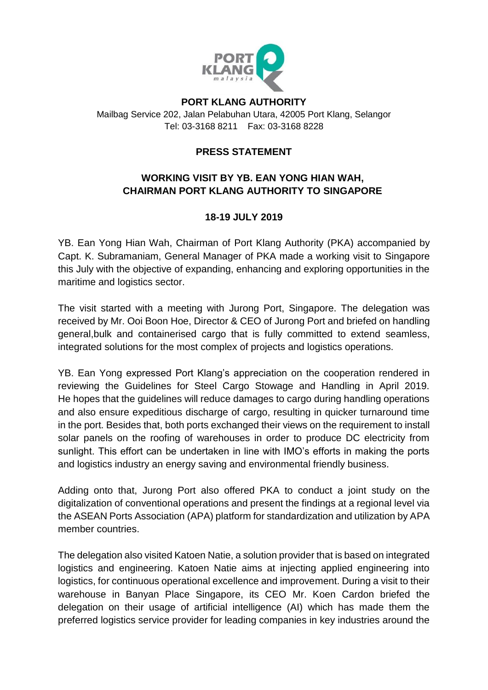

#### **PORT KLANG AUTHORITY**

Mailbag Service 202, Jalan Pelabuhan Utara, 42005 Port Klang, Selangor Tel: 03-3168 8211 Fax: 03-3168 8228

### **PRESS STATEMENT**

# **WORKING VISIT BY YB. EAN YONG HIAN WAH, CHAIRMAN PORT KLANG AUTHORITY TO SINGAPORE**

# **18-19 JULY 2019**

YB. Ean Yong Hian Wah, Chairman of Port Klang Authority (PKA) accompanied by Capt. K. Subramaniam, General Manager of PKA made a working visit to Singapore this July with the objective of expanding, enhancing and exploring opportunities in the maritime and logistics sector.

The visit started with a meeting with Jurong Port, Singapore. The delegation was received by Mr. Ooi Boon Hoe, Director & CEO of Jurong Port and briefed on handling general,bulk and containerised cargo that is fully committed to extend seamless, integrated solutions for the most complex of projects and logistics operations.

YB. Ean Yong expressed Port Klang's appreciation on the cooperation rendered in reviewing the Guidelines for Steel Cargo Stowage and Handling in April 2019. He hopes that the guidelines will reduce damages to cargo during handling operations and also ensure expeditious discharge of cargo, resulting in quicker turnaround time in the port. Besides that, both ports exchanged their views on the requirement to install solar panels on the roofing of warehouses in order to produce DC electricity from sunlight. This effort can be undertaken in line with IMO's efforts in making the ports and logistics industry an energy saving and environmental friendly business.

Adding onto that, Jurong Port also offered PKA to conduct a joint study on the digitalization of conventional operations and present the findings at a regional level via the ASEAN Ports Association (APA) platform for standardization and utilization by APA member countries.

The delegation also visited Katoen Natie, a solution provider that is based on integrated logistics and engineering. Katoen Natie aims at injecting applied engineering into logistics, for continuous operational excellence and improvement. During a visit to their warehouse in Banyan Place Singapore, its CEO Mr. Koen Cardon briefed the delegation on their usage of artificial intelligence (AI) which has made them the preferred logistics service provider for leading companies in key industries around the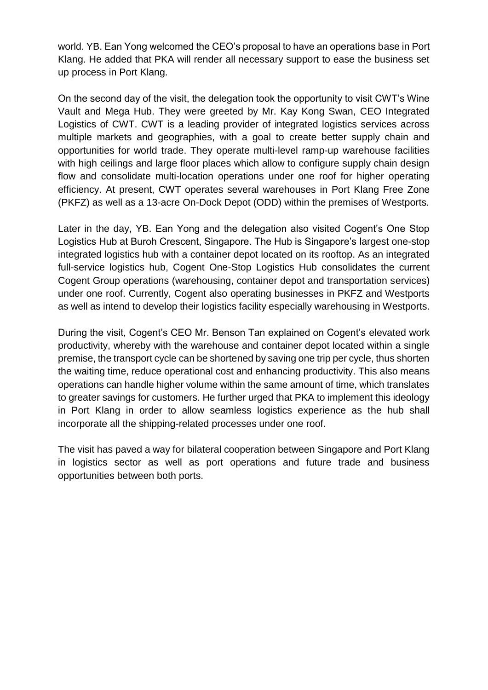world. YB. Ean Yong welcomed the CEO's proposal to have an operations base in Port Klang. He added that PKA will render all necessary support to ease the business set up process in Port Klang.

On the second day of the visit, the delegation took the opportunity to visit CWT's Wine Vault and Mega Hub. They were greeted by Mr. Kay Kong Swan, CEO Integrated Logistics of CWT. CWT is a leading provider of integrated logistics services across multiple markets and geographies, with a goal to create better supply chain and opportunities for world trade. They operate multi-level ramp-up warehouse facilities with high ceilings and large floor places which allow to configure supply chain design flow and consolidate multi-location operations under one roof for higher operating efficiency. At present, CWT operates several warehouses in Port Klang Free Zone (PKFZ) as well as a 13-acre On-Dock Depot (ODD) within the premises of Westports.

Later in the day, YB. Ean Yong and the delegation also visited Cogent's One Stop Logistics Hub at Buroh Crescent, Singapore. The Hub is Singapore's largest one-stop integrated logistics hub with a container depot located on its rooftop. As an integrated full-service logistics hub, Cogent One-Stop Logistics Hub consolidates the current Cogent Group operations (warehousing, container depot and transportation services) under one roof. Currently, Cogent also operating businesses in PKFZ and Westports as well as intend to develop their logistics facility especially warehousing in Westports.

During the visit, Cogent's CEO Mr. Benson Tan explained on Cogent's elevated work productivity, whereby with the warehouse and container depot located within a single premise, the transport cycle can be shortened by saving one trip per cycle, thus shorten the waiting time, reduce operational cost and enhancing productivity. This also means operations can handle higher volume within the same amount of time, which translates to greater savings for customers. He further urged that PKA to implement this ideology in Port Klang in order to allow seamless logistics experience as the hub shall incorporate all the shipping-related processes under one roof.

The visit has paved a way for bilateral cooperation between Singapore and Port Klang in logistics sector as well as port operations and future trade and business opportunities between both ports.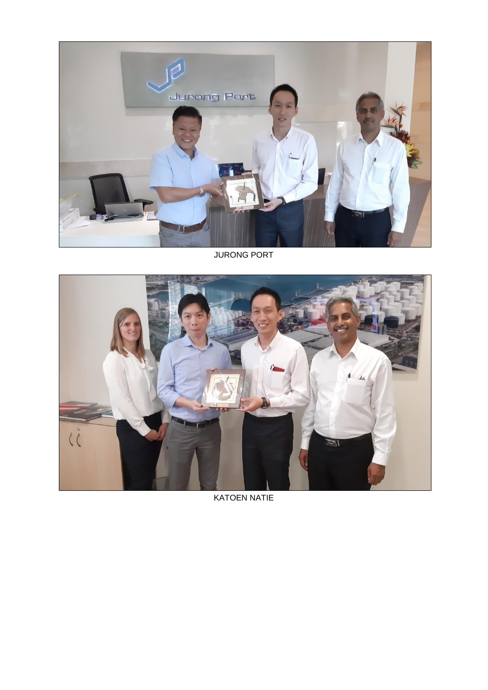

JURONG PORT



KATOEN NATIE